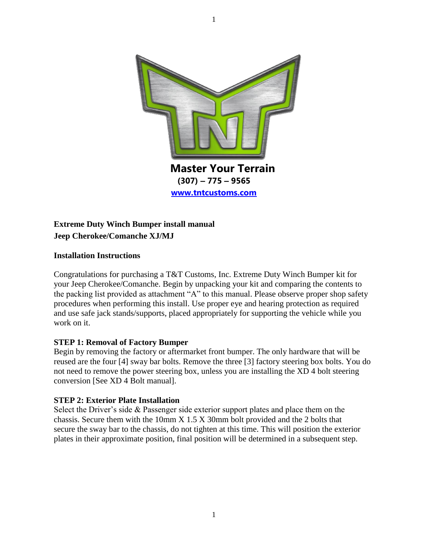

# **Extreme Duty Winch Bumper install manual Jeep Cherokee/Comanche XJ/MJ**

## **Installation Instructions**

Congratulations for purchasing a T&T Customs, Inc. Extreme Duty Winch Bumper kit for your Jeep Cherokee/Comanche. Begin by unpacking your kit and comparing the contents to the packing list provided as attachment "A" to this manual. Please observe proper shop safety procedures when performing this install. Use proper eye and hearing protection as required and use safe jack stands/supports, placed appropriately for supporting the vehicle while you work on it.

## **STEP 1: Removal of Factory Bumper**

Begin by removing the factory or aftermarket front bumper. The only hardware that will be reused are the four [4] sway bar bolts. Remove the three [3] factory steering box bolts. You do not need to remove the power steering box, unless you are installing the XD 4 bolt steering conversion [See XD 4 Bolt manual].

## **STEP 2: Exterior Plate Installation**

Select the Driver's side & Passenger side exterior support plates and place them on the chassis. Secure them with the 10mm X 1.5 X 30mm bolt provided and the 2 bolts that secure the sway bar to the chassis, do not tighten at this time. This will position the exterior plates in their approximate position, final position will be determined in a subsequent step.

1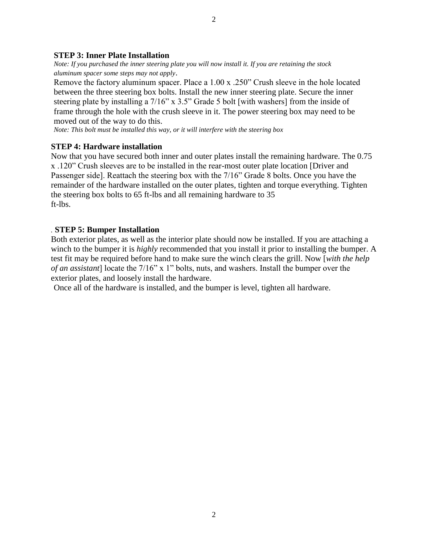#### **STEP 3: Inner Plate Installation**

*Note: If you purchased the inner steering plate you will now install it. If you are retaining the stock aluminum spacer some steps may not apply*.

Remove the factory aluminum spacer. Place a 1.00 x .250" Crush sleeve in the hole located between the three steering box bolts. Install the new inner steering plate. Secure the inner steering plate by installing a 7/16" x 3.5" Grade 5 bolt [with washers] from the inside of frame through the hole with the crush sleeve in it. The power steering box may need to be moved out of the way to do this.

*Note: This bolt must be installed this way, or it will interfere with the steering box*

#### **STEP 4: Hardware installation**

Now that you have secured both inner and outer plates install the remaining hardware. The 0.75 x .120" Crush sleeves are to be installed in the rear-most outer plate location [Driver and Passenger side]. Reattach the steering box with the 7/16" Grade 8 bolts. Once you have the remainder of the hardware installed on the outer plates, tighten and torque everything. Tighten the steering box bolts to 65 ft-lbs and all remaining hardware to 35 ft-lbs.

#### *.* **STEP 5: Bumper Installation**

Both exterior plates, as well as the interior plate should now be installed. If you are attaching a winch to the bumper it is *highly* recommended that you install it prior to installing the bumper. A test fit may be required before hand to make sure the winch clears the grill. Now [*with the help of an assistant*] locate the 7/16" x 1" bolts, nuts, and washers. Install the bumper over the exterior plates, and loosely install the hardware.

Once all of the hardware is installed, and the bumper is level, tighten all hardware.